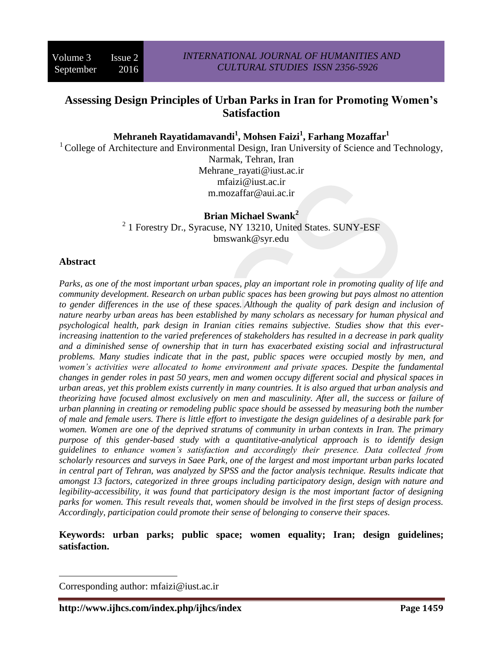# **Assessing Design Principles of Urban Parks in Iran for Promoting Women's Satisfaction**

**Mehraneh Rayatidamavandi<sup>1</sup> , Mohsen Faizi<sup>1</sup> , Farhang Mozaffar<sup>1</sup>**

<sup>1</sup> College of Architecture and Environmental Design, Iran University of Science and Technology,

Narmak, Tehran, Iran Mehrane rayati@iust.ac.ir [mfaizi@iust.ac.ir](mailto:mfaizi@iust.ac.ir) [m.mozaffar@aui.ac.ir](mailto:m.mozaffar@aui.ac.ir)

#### **Brian Michael Swank<sup>2</sup>** <sup>2</sup> 1 Forestry Dr., Syracuse, NY 13210, United States. SUNY-ESF bmswank@syr.edu

### **Abstract**

 $\overline{\phantom{a}}$ 

*Parks, as one of the most important urban spaces, play an important role in promoting quality of life and community development. Research on urban public spaces has been growing but pays almost no attention to gender differences in the use of these spaces. Although the quality of park design and inclusion of nature nearby urban areas has been established by many scholars as necessary for human physical and psychological health, park design in Iranian cities remains subjective. Studies show that this everincreasing inattention to the varied preferences of stakeholders has resulted in a decrease in park quality and a diminished sense of ownership that in turn has exacerbated existing social and infrastructural problems. Many studies indicate that in the past, public spaces were occupied mostly by men, and women's activities were allocated to home environment and private spaces. Despite the fundamental changes in gender roles in past 50 years, men and women occupy different social and physical spaces in urban areas, yet this problem exists currently in many countries. It is also argued that urban analysis and theorizing have focused almost exclusively on men and masculinity. After all, the success or failure of urban planning in creating or remodeling public space should be assessed by measuring both the number of male and female users. There is little effort to investigate the design guidelines of a desirable park for women. Women are one of the deprived stratums of community in urban contexts in Iran. The primary purpose of this gender-based study with a quantitative-analytical approach is to identify design guidelines to enhance women's satisfaction and accordingly their presence. Data collected from scholarly resources and surveys in Saee Park, one of the largest and most important urban parks located in central part of Tehran, was analyzed by SPSS and the factor analysis technique. Results indicate that amongst 13 factors, categorized in three groups including participatory design, design with nature and legibility-accessibility, it was found that participatory design is the most important factor of designing parks for women. This result reveals that, women should be involved in the first steps of design process. Accordingly, participation could promote their sense of belonging to conserve their spaces.*

**Keywords: urban parks; public space; women equality; Iran; design guidelines; satisfaction.**

Corresponding author: mfaizi@iust.ac.ir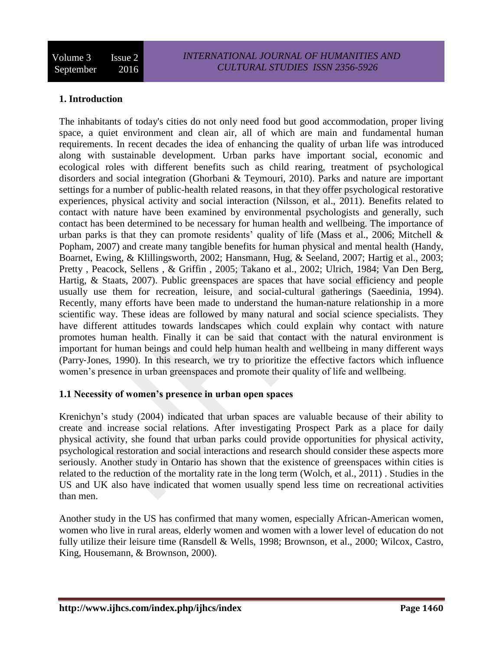## **1. Introduction**

The inhabitants of today's cities do not only need food but good accommodation, proper living space, a quiet environment and clean air, all of which are main and fundamental human requirements. In recent decades the idea of enhancing the quality of urban life was introduced along with sustainable development. Urban parks have important social, economic and ecological roles with different benefits such as child rearing, treatment of psychological disorders and social integration (Ghorbani & Teymouri, 2010). Parks and nature are important settings for a number of public-health related reasons, in that they offer psychological restorative experiences, physical activity and social interaction (Nilsson, et al., 2011). Benefits related to contact with nature have been examined by environmental psychologists and generally, such contact has been determined to be necessary for human health and wellbeing. The importance of urban parks is that they can promote residents' quality of life (Mass et al., 2006; Mitchell  $\&$ Popham, 2007) and create many tangible benefits for human physical and mental health (Handy, Boarnet, Ewing, & Klillingsworth, 2002; Hansmann, Hug, & Seeland, 2007; Hartig et al., 2003; Pretty , Peacock, Sellens , & Griffin , 2005; Takano et al., 2002; Ulrich, 1984; Van Den Berg, Hartig, & Staats, 2007). Public greenspaces are spaces that have social efficiency and people usually use them for recreation, leisure, and social-cultural gatherings (Saeedinia, 1994). Recently, many efforts have been made to understand the human-nature relationship in a more scientific way. These ideas are followed by many natural and social science specialists. They have different attitudes towards landscapes which could explain why contact with nature promotes human health. Finally it can be said that contact with the natural environment is important for human beings and could help human health and wellbeing in many different ways (Parry‐Jones, 1990). In this research, we try to prioritize the effective factors which influence women's presence in urban greenspaces and promote their quality of life and wellbeing.

#### **1.1 Necessity of women's presence in urban open spaces**

Krenichyn's study (2004) indicated that urban spaces are valuable because of their ability to create and increase social relations. After investigating Prospect Park as a place for daily physical activity, she found that urban parks could provide opportunities for physical activity, psychological restoration and social interactions and research should consider these aspects more seriously. Another study in Ontario has shown that the existence of greenspaces within cities is related to the reduction of the mortality rate in the long term (Wolch, et al., 2011) . Studies in the US and UK also have indicated that women usually spend less time on recreational activities than men.

Another study in the US has confirmed that many women, especially African-American women, women who live in rural areas, elderly women and women with a lower level of education do not fully utilize their leisure time (Ransdell & Wells, 1998; Brownson, et al., 2000; Wilcox, Castro, King, Housemann, & Brownson, 2000).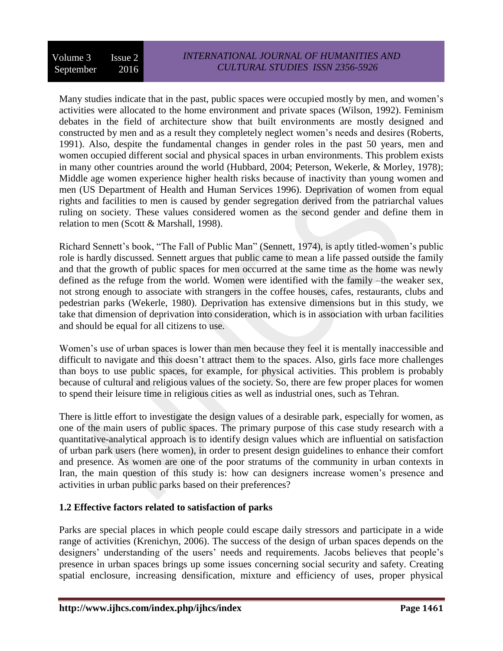Many studies indicate that in the past, public spaces were occupied mostly by men, and women's activities were allocated to the home environment and private spaces (Wilson, 1992). Feminism debates in the field of architecture show that built environments are mostly designed and constructed by men and as a result they completely neglect women's needs and desires (Roberts, 1991). Also, despite the fundamental changes in gender roles in the past 50 years, men and women occupied different social and physical spaces in urban environments. This problem exists in many other countries around the world (Hubbard, 2004; Peterson, Wekerle, & Morley, 1978); Middle age women experience higher health risks because of inactivity than young women and men (US Department of Health and Human Services 1996). Deprivation of women from equal rights and facilities to men is caused by gender segregation derived from the patriarchal values ruling on society. These values considered women as the second gender and define them in relation to men (Scott & Marshall, 1998).

Richard Sennett's book, "The Fall of Public Man" (Sennett, 1974), is aptly titled-women's public role is hardly discussed. Sennett argues that public came to mean a life passed outside the family and that the growth of public spaces for men occurred at the same time as the home was newly defined as the refuge from the world. Women were identified with the family –the weaker sex, not strong enough to associate with strangers in the coffee houses, cafes, restaurants, clubs and pedestrian parks (Wekerle, 1980). Deprivation has extensive dimensions but in this study, we take that dimension of deprivation into consideration, which is in association with urban facilities and should be equal for all citizens to use.

Women's use of urban spaces is lower than men because they feel it is mentally inaccessible and difficult to navigate and this doesn't attract them to the spaces. Also, girls face more challenges than boys to use public spaces, for example, for physical activities. This problem is probably because of cultural and religious values of the society. So, there are few proper places for women to spend their leisure time in religious cities as well as industrial ones, such as Tehran.

There is little effort to investigate the design values of a desirable park, especially for women, as one of the main users of public spaces. The primary purpose of this case study research with a quantitative-analytical approach is to identify design values which are influential on satisfaction of urban park users (here women), in order to present design guidelines to enhance their comfort and presence. As women are one of the poor stratums of the community in urban contexts in Iran, the main question of this study is: how can designers increase women's presence and activities in urban public parks based on their preferences?

#### **1.2 Effective factors related to satisfaction of parks**

Parks are special places in which people could escape daily stressors and participate in a wide range of activities (Krenichyn, 2006). The success of the design of urban spaces depends on the designers' understanding of the users' needs and requirements. Jacobs believes that people's presence in urban spaces brings up some issues concerning social security and safety. Creating spatial enclosure, increasing densification, mixture and efficiency of uses, proper physical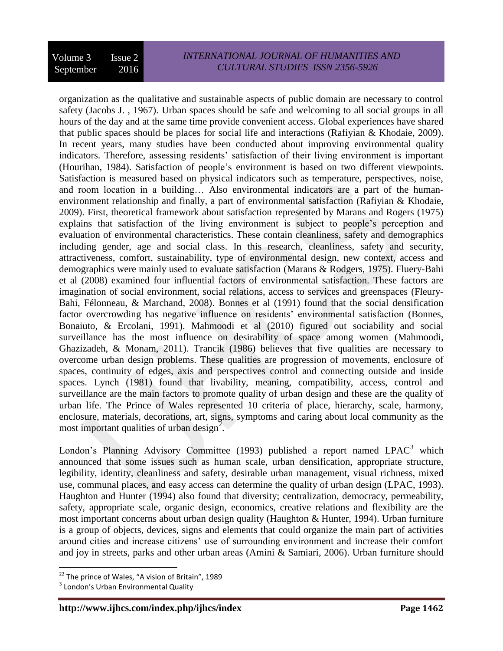organization as the qualitative and sustainable aspects of public domain are necessary to control safety (Jacobs J. , 1967). Urban spaces should be safe and welcoming to all social groups in all hours of the day and at the same time provide convenient access. Global experiences have shared that public spaces should be places for social life and interactions (Rafiyian & Khodaie, 2009). In recent years, many studies have been conducted about improving environmental quality indicators. Therefore, assessing residents' satisfaction of their living environment is important (Hourihan, 1984). Satisfaction of people's environment is based on two different viewpoints. Satisfaction is measured based on physical indicators such as temperature, perspectives, noise, and room location in a building… Also environmental indicators are a part of the humanenvironment relationship and finally, a part of environmental satisfaction (Rafiyian & Khodaie, 2009). First, theoretical framework about satisfaction represented by Marans and Rogers (1975) explains that satisfaction of the living environment is subject to people's perception and evaluation of environmental characteristics. These contain cleanliness, safety and demographics including gender, age and social class. In this research, cleanliness, safety and security, attractiveness, comfort, sustainability, type of environmental design, new context, access and demographics were mainly used to evaluate satisfaction (Marans & Rodgers, 1975). Fluery-Bahi et al (2008) examined four influential factors of environmental satisfaction. These factors are imagination of social environment, social relations, access to services and greenspaces (Fleury-Bahi, Félonneau, & Marchand, 2008). Bonnes et al (1991) found that the social densification factor overcrowding has negative influence on residents' environmental satisfaction (Bonnes, Bonaiuto, & Ercolani, 1991). Mahmoodi et al (2010) figured out sociability and social surveillance has the most influence on desirability of space among women (Mahmoodi, Ghazizadeh, & Monam, 2011). Trancik (1986) believes that five qualities are necessary to overcome urban design problems. These qualities are progression of movements, enclosure of spaces, continuity of edges, axis and perspectives control and connecting outside and inside spaces. Lynch (1981) found that livability, meaning, compatibility, access, control and surveillance are the main factors to promote quality of urban design and these are the quality of urban life. The Prince of Wales represented 10 criteria of place, hierarchy, scale, harmony, enclosure, materials, decorations, art, signs, symptoms and caring about local community as the most important qualities of urban design<sup>2</sup>.

London's Planning Advisory Committee (1993) published a report named LPAC<sup>3</sup> which announced that some issues such as human scale, urban densification, appropriate structure, legibility, identity, cleanliness and safety, desirable urban management, visual richness, mixed use, communal places, and easy access can determine the quality of urban design (LPAC, 1993). Haughton and Hunter (1994) also found that diversity; centralization, democracy, permeability, safety, appropriate scale, organic design, economics, creative relations and flexibility are the most important concerns about urban design quality (Haughton & Hunter, 1994). Urban furniture is a group of objects, devices, signs and elements that could organize the main part of activities around cities and increase citizens' use of surrounding environment and increase their comfort and joy in streets, parks and other urban areas (Amini & Samiari, 2006). Urban furniture should

 22 The prince of Wales, "A vision of Britain", 1989

<sup>&</sup>lt;sup>3</sup> London's Urban Environmental Quality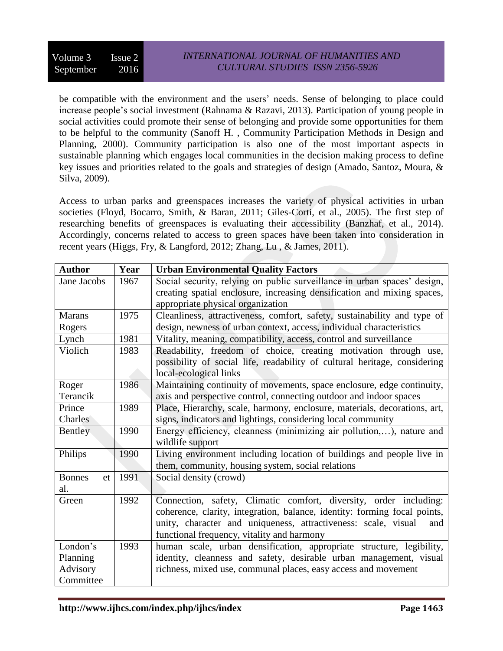be compatible with the environment and the users' needs. Sense of belonging to place could increase people's social investment (Rahnama & Razavi, 2013). Participation of young people in social activities could promote their sense of belonging and provide some opportunities for them to be helpful to the community (Sanoff H. , Community Participation Methods in Design and Planning, 2000). Community participation is also one of the most important aspects in sustainable planning which engages local communities in the decision making process to define key issues and priorities related to the goals and strategies of design (Amado, Santoz, Moura, & Silva, 2009).

Access to urban parks and greenspaces increases the variety of physical activities in urban societies (Floyd, Bocarro, Smith, & Baran, 2011; Giles-Corti, et al., 2005). The first step of researching benefits of greenspaces is evaluating their accessibility (Banzhaf, et al., 2014). Accordingly, concerns related to access to green spaces have been taken into consideration in recent years (Higgs, Fry, & Langford, 2012; Zhang, Lu , & James, 2011).

| <b>Author</b>       | Year | <b>Urban Environmental Quality Factors</b>                                |  |  |  |  |  |
|---------------------|------|---------------------------------------------------------------------------|--|--|--|--|--|
| Jane Jacobs         | 1967 | Social security, relying on public surveillance in urban spaces' design,  |  |  |  |  |  |
|                     |      | creating spatial enclosure, increasing densification and mixing spaces,   |  |  |  |  |  |
|                     |      | appropriate physical organization                                         |  |  |  |  |  |
| <b>Marans</b>       | 1975 | Cleanliness, attractiveness, comfort, safety, sustainability and type of  |  |  |  |  |  |
| Rogers              |      | design, newness of urban context, access, individual characteristics      |  |  |  |  |  |
| Lynch               | 1981 | Vitality, meaning, compatibility, access, control and surveillance        |  |  |  |  |  |
| Violich             | 1983 | Readability, freedom of choice, creating motivation through use,          |  |  |  |  |  |
|                     |      | possibility of social life, readability of cultural heritage, considering |  |  |  |  |  |
|                     |      | local-ecological links                                                    |  |  |  |  |  |
| Roger               | 1986 | Maintaining continuity of movements, space enclosure, edge continuity,    |  |  |  |  |  |
| Terancik            |      | axis and perspective control, connecting outdoor and indoor spaces        |  |  |  |  |  |
| Prince              | 1989 | Place, Hierarchy, scale, harmony, enclosure, materials, decorations, art, |  |  |  |  |  |
| Charles             |      | signs, indicators and lightings, considering local community              |  |  |  |  |  |
| Bentley             | 1990 | Energy efficiency, cleanness (minimizing air pollution,), nature and      |  |  |  |  |  |
|                     |      | wildlife support                                                          |  |  |  |  |  |
| Philips             | 1990 | Living environment including location of buildings and people live in     |  |  |  |  |  |
|                     |      | them, community, housing system, social relations                         |  |  |  |  |  |
| <b>Bonnes</b><br>et | 1991 | Social density (crowd)                                                    |  |  |  |  |  |
| al.                 |      |                                                                           |  |  |  |  |  |
| Green               | 1992 | Connection, safety, Climatic comfort, diversity, order including:         |  |  |  |  |  |
|                     |      | coherence, clarity, integration, balance, identity: forming focal points, |  |  |  |  |  |
|                     |      | unity, character and uniqueness, attractiveness: scale, visual<br>and     |  |  |  |  |  |
|                     |      | functional frequency, vitality and harmony                                |  |  |  |  |  |
| London's            | 1993 | human scale, urban densification, appropriate structure, legibility,      |  |  |  |  |  |
| Planning            |      | identity, cleanness and safety, desirable urban management, visual        |  |  |  |  |  |
| Advisory            |      | richness, mixed use, communal places, easy access and movement            |  |  |  |  |  |
| Committee           |      |                                                                           |  |  |  |  |  |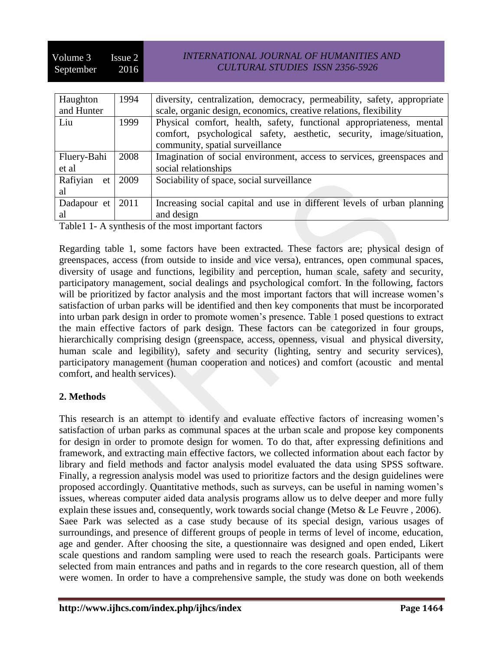### *INTERNATIONAL JOURNAL OF HUMANITIES AND CULTURAL STUDIES ISSN 2356-5926*

| Haughton    | 1994 | diversity, centralization, democracy, permeability, safety, appropriate                                 |  |  |  |  |
|-------------|------|---------------------------------------------------------------------------------------------------------|--|--|--|--|
| and Hunter  |      | scale, organic design, economics, creative relations, flexibility                                       |  |  |  |  |
| Liu         | 1999 | Physical comfort, health, safety, functional appropriateness, mental                                    |  |  |  |  |
|             |      | comfort, psychological safety, aesthetic, security, image/situation,<br>community, spatial surveillance |  |  |  |  |
| Fluery-Bahi | 2008 | Imagination of social environment, access to services, greenspaces and                                  |  |  |  |  |
| et al       |      | social relationships                                                                                    |  |  |  |  |
| Rafiyian et | 2009 | Sociability of space, social surveillance                                                               |  |  |  |  |
| al          |      |                                                                                                         |  |  |  |  |
| Dadapour et | 2011 | Increasing social capital and use in different levels of urban planning                                 |  |  |  |  |
| al          |      | and design                                                                                              |  |  |  |  |

Table1 1- A synthesis of the most important factors

Regarding table 1, some factors have been extracted. These factors are; physical design of greenspaces, access (from outside to inside and vice versa), entrances, open communal spaces, diversity of usage and functions, legibility and perception, human scale, safety and security, participatory management, social dealings and psychological comfort. In the following, factors will be prioritized by factor analysis and the most important factors that will increase women's satisfaction of urban parks will be identified and then key components that must be incorporated into urban park design in order to promote women's presence. Table 1 posed questions to extract the main effective factors of park design. These factors can be categorized in four groups, hierarchically comprising design (greenspace, access, openness, visual and physical diversity, human scale and legibility), safety and security (lighting, sentry and security services), participatory management (human cooperation and notices) and comfort (acoustic and mental comfort, and health services).

#### **2. Methods**

This research is an attempt to identify and evaluate effective factors of increasing women's satisfaction of urban parks as communal spaces at the urban scale and propose key components for design in order to promote design for women. To do that, after expressing definitions and framework, and extracting main effective factors, we collected information about each factor by library and field methods and factor analysis model evaluated the data using SPSS software. Finally, a regression analysis model was used to prioritize factors and the design guidelines were proposed accordingly. Quantitative methods, such as surveys, can be useful in naming women's issues, whereas computer aided data analysis programs allow us to delve deeper and more fully explain these issues and, consequently, work towards social change (Metso & Le Feuvre , 2006). Saee Park was selected as a case study because of its special design, various usages of surroundings, and presence of different groups of people in terms of level of income, education, age and gender. After choosing the site, a questionnaire was designed and open ended, Likert scale questions and random sampling were used to reach the research goals. Participants were selected from main entrances and paths and in regards to the core research question, all of them were women. In order to have a comprehensive sample, the study was done on both weekends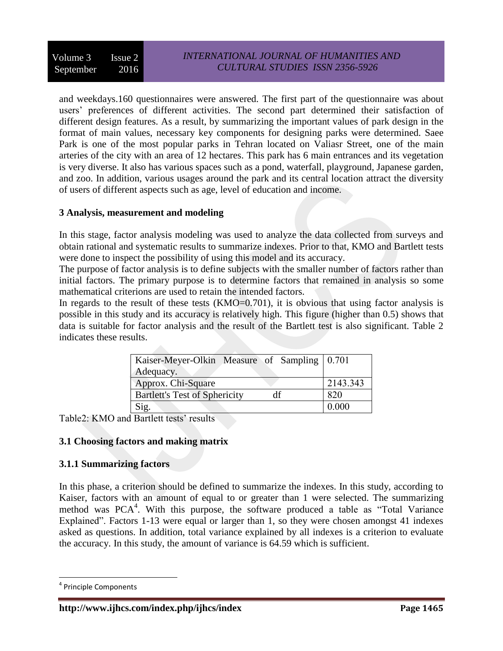and weekdays.160 questionnaires were answered. The first part of the questionnaire was about users' preferences of different activities. The second part determined their satisfaction of different design features. As a result, by summarizing the important values of park design in the format of main values, necessary key components for designing parks were determined. Saee Park is one of the most popular parks in Tehran located on Valiasr Street, one of the main arteries of the city with an area of 12 hectares. This park has 6 main entrances and its vegetation is very diverse. It also has various spaces such as a pond, waterfall, playground, Japanese garden, and zoo. In addition, various usages around the park and its central location attract the diversity of users of different aspects such as age, level of education and income.

#### **3 Analysis, measurement and modeling**

In this stage, factor analysis modeling was used to analyze the data collected from surveys and obtain rational and systematic results to summarize indexes. Prior to that, KMO and Bartlett tests were done to inspect the possibility of using this model and its accuracy.

The purpose of factor analysis is to define subjects with the smaller number of factors rather than initial factors. The primary purpose is to determine factors that remained in analysis so some mathematical criterions are used to retain the intended factors.

In regards to the result of these tests (KMO=0.701), it is obvious that using factor analysis is possible in this study and its accuracy is relatively high. This figure (higher than 0.5) shows that data is suitable for factor analysis and the result of the Bartlett test is also significant. Table 2 indicates these results.

| Kaiser-Meyer-Olkin Measure of Sampling 0.701<br>Adequacy. |          |
|-----------------------------------------------------------|----------|
| Approx. Chi-Square                                        | 2143.343 |
| <b>Bartlett's Test of Sphericity</b>                      | 820      |
| Sig.                                                      | 0.000    |

Table2: KMO and Bartlett tests' results

# **3.1 Choosing factors and making matrix**

#### **3.1.1 Summarizing factors**

In this phase, a criterion should be defined to summarize the indexes. In this study, according to Kaiser, factors with an amount of equal to or greater than 1 were selected. The summarizing method was PCA<sup>4</sup>. With this purpose, the software produced a table as "Total Variance Explained". Factors 1-13 were equal or larger than 1, so they were chosen amongst 41 indexes asked as questions. In addition, total variance explained by all indexes is a criterion to evaluate the accuracy. In this study, the amount of variance is 64.59 which is sufficient.

 $\overline{\phantom{a}}$ 

<sup>4</sup> Principle Components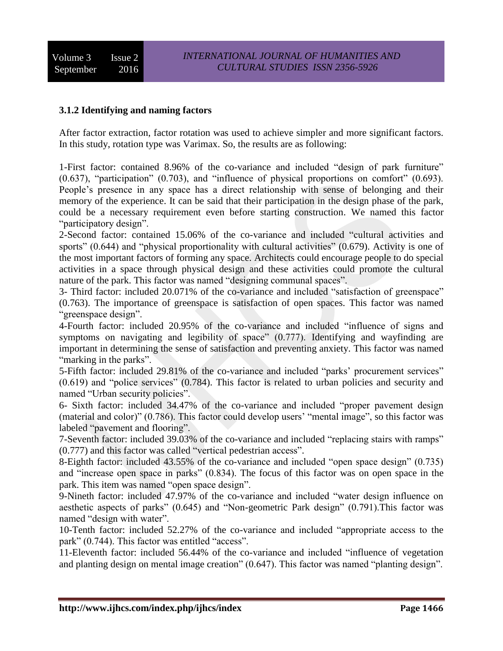### **3.1.2 Identifying and naming factors**

After factor extraction, factor rotation was used to achieve simpler and more significant factors. In this study, rotation type was Varimax. So, the results are as following:

1-First factor: contained 8.96% of the co-variance and included "design of park furniture" (0.637), "participation" (0.703), and "influence of physical proportions on comfort" (0.693). People's presence in any space has a direct relationship with sense of belonging and their memory of the experience. It can be said that their participation in the design phase of the park, could be a necessary requirement even before starting construction. We named this factor "participatory design".

2-Second factor: contained 15.06% of the co-variance and included "cultural activities and sports" (0.644) and "physical proportionality with cultural activities" (0.679). Activity is one of the most important factors of forming any space. Architects could encourage people to do special activities in a space through physical design and these activities could promote the cultural nature of the park. This factor was named "designing communal spaces".

3- Third factor: included 20.071% of the co-variance and included "satisfaction of greenspace" (0.763). The importance of greenspace is satisfaction of open spaces. This factor was named "greenspace design".

4-Fourth factor: included 20.95% of the co-variance and included "influence of signs and symptoms on navigating and legibility of space" (0.777). Identifying and wayfinding are important in determining the sense of satisfaction and preventing anxiety. This factor was named "marking in the parks".

5-Fifth factor: included 29.81% of the co-variance and included "parks' procurement services" (0.619) and "police services" (0.784). This factor is related to urban policies and security and named "Urban security policies".

6- Sixth factor: included 34.47% of the co-variance and included "proper pavement design (material and color)" (0.786). This factor could develop users' "mental image", so this factor was labeled "pavement and flooring".

7-Seventh factor: included 39.03% of the co-variance and included "replacing stairs with ramps" (0.777) and this factor was called "vertical pedestrian access".

8-Eighth factor: included 43.55% of the co-variance and included "open space design" (0.735) and "increase open space in parks" (0.834). The focus of this factor was on open space in the park. This item was named "open space design".

9-Nineth factor: included 47.97% of the co-variance and included "water design influence on aesthetic aspects of parks" (0.645) and "Non-geometric Park design" (0.791).This factor was named "design with water".

10-Tenth factor: included 52.27% of the co-variance and included "appropriate access to the park" (0.744). This factor was entitled "access".

11-Eleventh factor: included 56.44% of the co-variance and included "influence of vegetation and planting design on mental image creation" (0.647). This factor was named "planting design".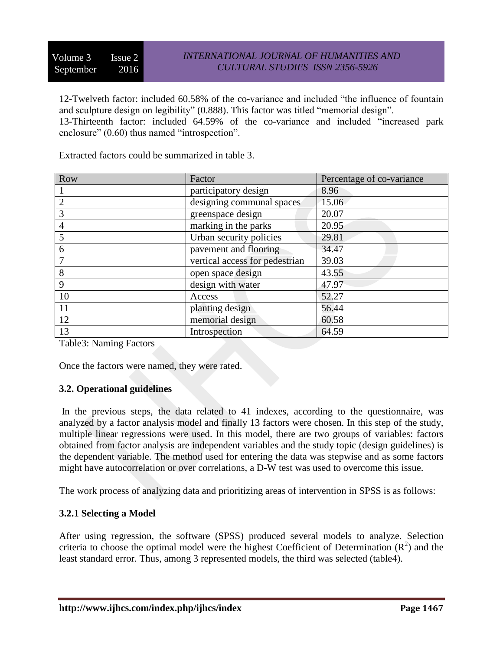12-Twelveth factor: included 60.58% of the co-variance and included "the influence of fountain and sculpture design on legibility" (0.888). This factor was titled "memorial design". 13-Thirteenth factor: included 64.59% of the co-variance and included "increased park enclosure" (0.60) thus named "introspection".

Extracted factors could be summarized in table 3.

| Row | Factor                         | Percentage of co-variance |
|-----|--------------------------------|---------------------------|
|     | participatory design           | 8.96                      |
|     | designing communal spaces      | 15.06                     |
|     | greenspace design              | 20.07                     |
| 4   | marking in the parks           | 20.95                     |
|     | Urban security policies        | 29.81                     |
| 6   | pavement and flooring          | 34.47                     |
|     | vertical access for pedestrian | 39.03                     |
| 8   | open space design              | 43.55                     |
| 9   | design with water              | 47.97                     |
| 10  | Access                         | 52.27                     |
| 11  | planting design                | 56.44                     |
| 12  | memorial design                | 60.58                     |
| 13  | Introspection                  | 64.59                     |

Table3: Naming Factors

Once the factors were named, they were rated.

#### **3.2. Operational guidelines**

In the previous steps, the data related to 41 indexes, according to the questionnaire, was analyzed by a factor analysis model and finally 13 factors were chosen. In this step of the study, multiple linear regressions were used. In this model, there are two groups of variables: factors obtained from factor analysis are independent variables and the study topic (design guidelines) is the dependent variable. The method used for entering the data was stepwise and as some factors might have autocorrelation or over correlations, a D-W test was used to overcome this issue.

The work process of analyzing data and prioritizing areas of intervention in SPSS is as follows:

#### **3.2.1 Selecting a Model**

After using regression, the software (SPSS) produced several models to analyze. Selection criteria to choose the optimal model were the highest Coefficient of Determination  $(R^2)$  and the least standard error. Thus, among 3 represented models, the third was selected (table4).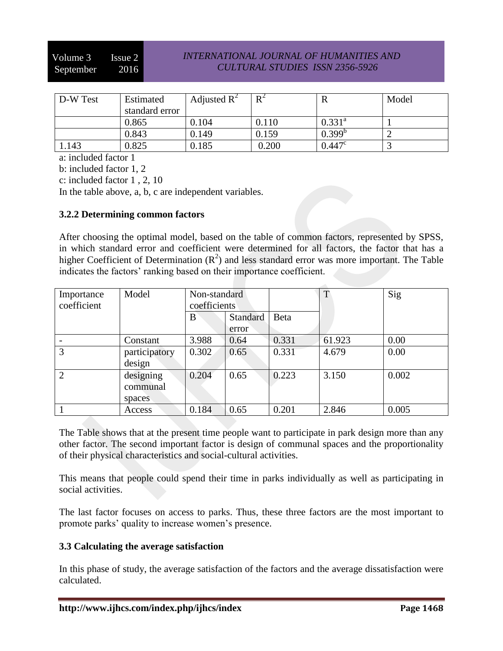#### *INTERNATIONAL JOURNAL OF HUMANITIES AND CULTURAL STUDIES ISSN 2356-5926*

| D-W Test | Estimated      | Adjusted $R^2$ | $R^2$ |                 | Model |
|----------|----------------|----------------|-------|-----------------|-------|
|          | standard error |                |       |                 |       |
|          | 0.865          | 0.104          | 0.110 | $0.331^{a}$     |       |
|          | 0.843          | 0.149          | 0.159 | $0.399^{b}$     |       |
| 1.143    | 0.825          | 0.185          | 0.200 | $0.447^{\circ}$ |       |

a: included factor 1

b: included factor 1, 2

c: included factor 1 , 2, 10

In the table above, a, b, c are independent variables.

#### **3.2.2 Determining common factors**

After choosing the optimal model, based on the table of common factors, represented by SPSS, in which standard error and coefficient were determined for all factors, the factor that has a higher Coefficient of Determination  $(R^2)$  and less standard error was more important. The Table indicates the factors' ranking based on their importance coefficient.

| Importance<br>coefficient | Model         | Non-standard<br>coefficients |          |       | T      | Sig   |
|---------------------------|---------------|------------------------------|----------|-------|--------|-------|
|                           |               |                              |          | Beta  |        |       |
|                           |               | B                            | Standard |       |        |       |
|                           |               |                              | error    |       |        |       |
|                           | Constant      | 3.988                        | 0.64     | 0.331 | 61.923 | 0.00  |
| 3                         | participatory | 0.302                        | 0.65     | 0.331 | 4.679  | 0.00  |
|                           | design        |                              |          |       |        |       |
| 2                         | designing     | 0.204                        | 0.65     | 0.223 | 3.150  | 0.002 |
|                           | communal      |                              |          |       |        |       |
|                           | spaces        |                              |          |       |        |       |
|                           | Access        | 0.184                        | 0.65     | 0.201 | 2.846  | 0.005 |

The Table shows that at the present time people want to participate in park design more than any other factor. The second important factor is design of communal spaces and the proportionality of their physical characteristics and social-cultural activities.

This means that people could spend their time in parks individually as well as participating in social activities.

The last factor focuses on access to parks. Thus, these three factors are the most important to promote parks' quality to increase women's presence.

#### **3.3 Calculating the average satisfaction**

In this phase of study, the average satisfaction of the factors and the average dissatisfaction were calculated.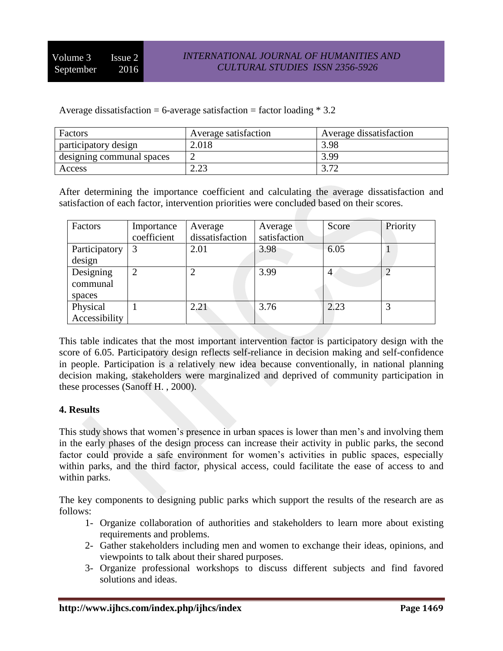Average dissatisfaction = 6-average satisfaction = factor loading  $*$  3.2

| Factors                   | Average satisfaction | Average dissatisfaction |
|---------------------------|----------------------|-------------------------|
| participatory design      | 2.018                | 3.98                    |
| designing communal spaces |                      | 3.99                    |
| Access                    | റ ററ                 | מה ה                    |

After determining the importance coefficient and calculating the average dissatisfaction and satisfaction of each factor, intervention priorities were concluded based on their scores.

| Factors       | Importance    | Average         | Average      | Score          | Priority |
|---------------|---------------|-----------------|--------------|----------------|----------|
|               | coefficient   | dissatisfaction | satisfaction |                |          |
| Participatory | 3             | 2.01            | 3.98         | 6.05           |          |
| design        |               |                 |              |                |          |
| Designing     | $\mathcal{D}$ |                 | 3.99         | $\overline{4}$ |          |
| communal      |               |                 |              |                |          |
| spaces        |               |                 |              |                |          |
| Physical      |               | 2.21            | 3.76         | 2.23           | 3        |
| Accessibility |               |                 |              |                |          |

This table indicates that the most important intervention factor is participatory design with the score of 6.05. Participatory design reflects self-reliance in decision making and self-confidence in people. Participation is a relatively new idea because conventionally, in national planning decision making, stakeholders were marginalized and deprived of community participation in these processes (Sanoff H. , 2000).

#### **4. Results**

This study shows that women's presence in urban spaces is lower than men's and involving them in the early phases of the design process can increase their activity in public parks, the second factor could provide a safe environment for women's activities in public spaces, especially within parks, and the third factor, physical access, could facilitate the ease of access to and within parks.

The key components to designing public parks which support the results of the research are as follows:

- 1- Organize collaboration of authorities and stakeholders to learn more about existing requirements and problems.
- 2- Gather stakeholders including men and women to exchange their ideas, opinions, and viewpoints to talk about their shared purposes.
- 3- Organize professional workshops to discuss different subjects and find favored solutions and ideas.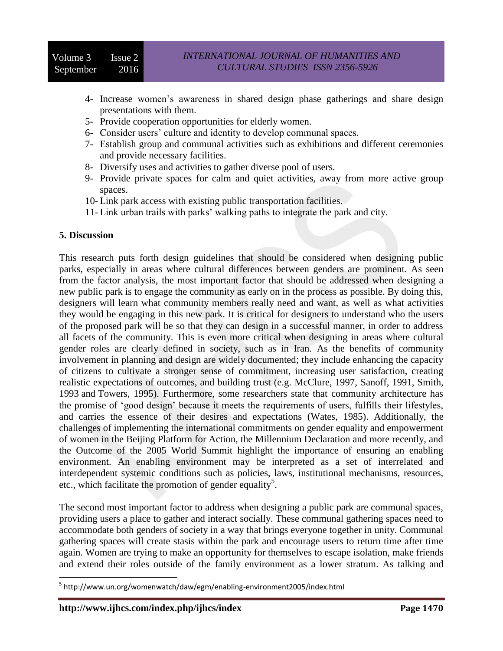- 4- Increase women's awareness in shared design phase gatherings and share design presentations with them.
- 5- Provide cooperation opportunities for elderly women.
- 6- Consider users' culture and identity to develop communal spaces.
- 7- Establish group and communal activities such as exhibitions and different ceremonies and provide necessary facilities.
- 8- Diversify uses and activities to gather diverse pool of users.
- 9- Provide private spaces for calm and quiet activities, away from more active group spaces.
- 10- Link park access with existing public transportation facilities.
- 11- Link urban trails with parks' walking paths to integrate the park and city.

#### **5. Discussion**

This research puts forth design guidelines that should be considered when designing public parks, especially in areas where cultural differences between genders are prominent. As seen from the factor analysis, the most important factor that should be addressed when designing a new public park is to engage the community as early on in the process as possible. By doing this, designers will learn what community members really need and want, as well as what activities they would be engaging in this new park. It is critical for designers to understand who the users of the proposed park will be so that they can design in a successful manner, in order to address all facets of the community. This is even more critical when designing in areas where cultural gender roles are clearly defined in society, such as in Iran. As the benefits of community involvement in planning and design are widely documented; they include enhancing the capacity of citizens to cultivate a stronger sense of commitment, increasing user satisfaction, creating realistic expectations of outcomes, and building trust (e.g. McClure, 1997, Sanoff, 1991, Smith, 1993 and Towers, 1995). Furthermore, some researchers state that community architecture has the promise of 'good design' because it meets the requirements of users, fulfills their lifestyles, and carries the essence of their desires and expectations (Wates, 1985). Additionally, the challenges of implementing the international commitments on gender equality and empowerment of women in the Beijing Platform for Action, the Millennium Declaration and more recently, and the Outcome of the 2005 World Summit highlight the importance of ensuring an enabling environment. An enabling environment may be interpreted as a set of interrelated and interdependent systemic conditions such as policies, laws, institutional mechanisms, resources, etc., which facilitate the promotion of gender equality<sup>5</sup>.

The second most important factor to address when designing a public park are communal spaces, providing users a place to gather and interact socially. These communal gathering spaces need to accommodate both genders of society in a way that brings everyone together in unity. Communal gathering spaces will create stasis within the park and encourage users to return time after time again. Women are trying to make an opportunity for themselves to escape isolation, make friends and extend their roles outside of the family environment as a lower stratum. As talking and

 $\overline{\phantom{a}}$ <sup>5</sup> http://www.un.org/womenwatch/daw/egm/enabling-environment2005/index.html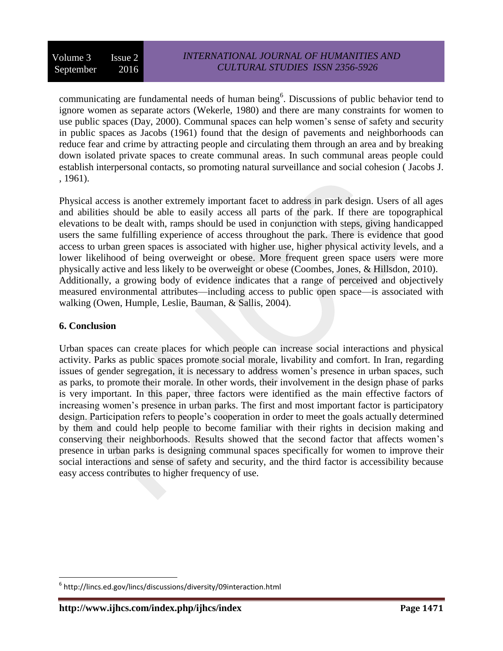communicating are fundamental needs of human being<sup>6</sup>. Discussions of public behavior tend to ignore women as separate actors (Wekerle, 1980) and there are many constraints for women to use public spaces (Day, 2000). Communal spaces can help women's sense of safety and security in public spaces as Jacobs (1961) found that the design of pavements and neighborhoods can reduce fear and crime by attracting people and circulating them through an area and by breaking down isolated private spaces to create communal areas. In such communal areas people could establish interpersonal contacts, so promoting natural surveillance and social cohesion ( Jacobs J. , 1961).

Physical access is another extremely important facet to address in park design. Users of all ages and abilities should be able to easily access all parts of the park. If there are topographical elevations to be dealt with, ramps should be used in conjunction with steps, giving handicapped users the same fulfilling experience of access throughout the park. There is evidence that good access to urban green spaces is associated with higher use, higher physical activity levels, and a lower likelihood of being overweight or obese. More frequent green space users were more physically active and less likely to be overweight or obese (Coombes, Jones, & Hillsdon, 2010). Additionally, a growing body of evidence indicates that a range of perceived and objectively measured environmental attributes—including access to public open space—is associated with walking (Owen, Humple, Leslie, Bauman, & Sallis, 2004).

### **6. Conclusion**

 $\overline{\phantom{a}}$ 

Urban spaces can create places for which people can increase social interactions and physical activity. Parks as public spaces promote social morale, livability and comfort. In Iran, regarding issues of gender segregation, it is necessary to address women's presence in urban spaces, such as parks, to promote their morale. In other words, their involvement in the design phase of parks is very important. In this paper, three factors were identified as the main effective factors of increasing women's presence in urban parks. The first and most important factor is participatory design. Participation refers to people's cooperation in order to meet the goals actually determined by them and could help people to become familiar with their rights in decision making and conserving their neighborhoods. Results showed that the second factor that affects women's presence in urban parks is designing communal spaces specifically for women to improve their social interactions and sense of safety and security, and the third factor is accessibility because easy access contributes to higher frequency of use.

 $^6$  http://lincs.ed.gov/lincs/discussions/diversity/09interaction.html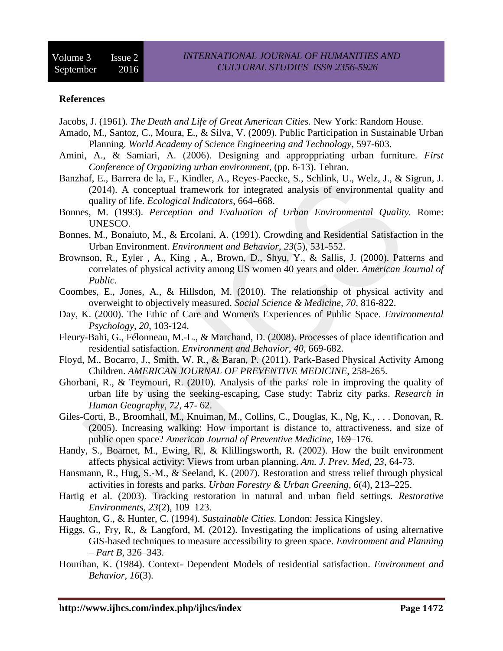#### **References**

Jacobs, J. (1961). *The Death and Life of Great American Cities.* New York: Random House.

- Amado, M., Santoz, C., Moura, E., & Silva, V. (2009). Public Participation in Sustainable Urban Planning. *World Academy of Science Engineering and Technology*, 597-603.
- Amini, A., & Samiari, A. (2006). Designing and approppriating urban furniture. *First Conference of Organizing urban environment*, (pp. 6-13). Tehran.
- Banzhaf, E., Barrera de la, F., Kindler, A., Reyes-Paecke, S., Schlink, U., Welz, J., & Sigrun, J. (2014). A conceptual framework for integrated analysis of environmental quality and quality of life. *Ecological Indicators*, 664–668.
- Bonnes, M. (1993). *Perception and Evaluation of Urban Environmental Quality.* Rome: UNESCO.
- Bonnes, M., Bonaiuto, M., & Ercolani, A. (1991). Crowding and Residential Satisfaction in the Urban Environment. *Environment and Behavior, 23*(5), 531-552.
- Brownson, R., Eyler , A., King , A., Brown, D., Shyu, Y., & Sallis, J. (2000). Patterns and correlates of physical activity among US women 40 years and older. *American Journal of Public*.
- Coombes, E., Jones, A., & Hillsdon, M. (2010). The relationship of physical activity and overweight to objectively measured. *Social Science & Medicine, 70*, 816-822.
- Day, K. (2000). The Ethic of Care and Women's Experiences of Public Space. *Environmental Psychology, 20*, 103-124.
- Fleury-Bahi, G., Félonneau, M.-L., & Marchand, D. (2008). Processes of place identification and residential satisfaction. *Environment and Behavior, 40*, 669-682.
- Floyd, M., Bocarro, J., Smith, W. R., & Baran, P. (2011). Park-Based Physical Activity Among Children. *AMERICAN JOURNAL OF PREVENTIVE MEDICINE*, 258-265.
- Ghorbani, R., & Teymouri, R. (2010). Analysis of the parks' role in improving the quality of urban life by using the seeking-escaping, Case study: Tabriz city parks. *Research in Human Geography, 72*, 47- 62.
- Giles-Corti, B., Broomhall, M., Knuiman, M., Collins, C., Douglas, K., Ng, K., . . . Donovan, R. (2005). Increasing walking: How important is distance to, attractiveness, and size of public open space? *American Journal of Preventive Medicine*, 169–176.
- Handy, S., Boarnet, M., Ewing, R., & Klillingsworth, R. (2002). How the built environment affects physical activity: Views from urban planning. *Am. J. Prev. Med, 23*, 64-73.
- Hansmann, R., Hug, S.-M., & Seeland, K. (2007). Restoration and stress relief through physical activities in forests and parks. *Urban Forestry & Urban Greening, 6*(4), 213–225.
- Hartig et al. (2003). Tracking restoration in natural and urban field settings. *Restorative Environments, 23*(2), 109–123.
- Haughton, G., & Hunter, C. (1994). *Sustainable Cities.* London: Jessica Kingsley.
- Higgs, G., Fry, R., & Langford, M. (2012). Investigating the implications of using alternative GIS-based techniques to measure accessibility to green space. *Environment and Planning – Part B*, 326–343.
- Hourihan, K. (1984). Context- Dependent Models of residential satisfaction. *Environment and Behavior, 16*(3).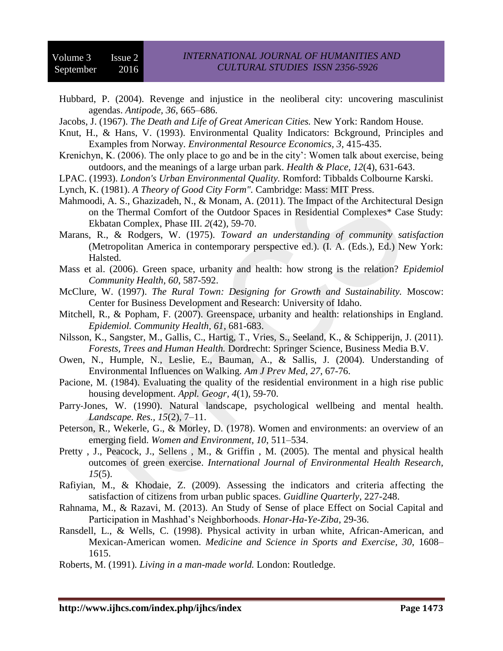Hubbard, P. (2004). Revenge and injustice in the neoliberal city: uncovering masculinist agendas. *Antipode, 36*, 665–686.

Jacobs, J. (1967). *The Death and Life of Great American Cities.* New York: Random House.

- Knut, H., & Hans, V. (1993). Environmental Quality Indicators: Bckground, Principles and Examples from Norway. *Environmental Resource Economics, 3*, 415-435.
- Krenichyn, K. (2006). The only place to go and be in the city': Women talk about exercise, being outdoors, and the meanings of a large urban park. *Health & Place, 12*(4), 631-643.
- LPAC. (1993). *London's Urban Environmental Quality.* Romford: Tibbalds Colbourne Karski.
- Lynch, K. (1981). *A Theory of Good City Form".* Cambridge: Mass: MIT Press.
- Mahmoodi, A. S., Ghazizadeh, N., & Monam, A. (2011). The Impact of the Architectural Design on the Thermal Comfort of the Outdoor Spaces in Residential Complexes\* Case Study: Ekbatan Complex, Phase III. *2*(42), 59-70.
- Marans, R., & Rodgers, W. (1975). *Toward an understanding of community satisfaction* (Metropolitan America in contemporary perspective ed.). (I. A. (Eds.), Ed.) New York: Halsted.
- Mass et al. (2006). Green space, urbanity and health: how strong is the relation? *Epidemiol Community Health, 60*, 587-592.
- McClure, W. (1997). *The Rural Town: Designing for Growth and Sustainability.* Moscow: Center for Business Development and Research: University of Idaho.
- Mitchell, R., & Popham, F. (2007). Greenspace, urbanity and health: relationships in England. *Epidemiol. Community Health, 61*, 681-683.
- Nilsson, K., Sangster, M., Gallis, C., Hartig, T., Vries, S., Seeland, K., & Schipperijn, J. (2011). *Forests, Trees and Human Health.* Dordrecht: Springer Science, Business Media B.V.
- Owen, N., Humple, N., Leslie, E., Bauman, A., & Sallis, J. (2004). Understanding of Environmental Influences on Walking. *Am J Prev Med, 27*, 67-76.
- Pacione, M. (1984). Evaluating the quality of the residential environment in a high rise public housing development. *Appl. Geogr, 4*(1), 59-70.
- Parry‐Jones, W. (1990). Natural landscape, psychological wellbeing and mental health. *Landscape. Res., 15*(2), 7–11.
- Peterson, R., Wekerle, G., & Morley, D. (1978). Women and environments: an overview of an emerging field. *Women and Environment, 10*, 511–534.
- Pretty, J., Peacock, J., Sellens, M., & Griffin, M. (2005). The mental and physical health outcomes of green exercise. *International Journal of Environmental Health Research, 15*(5).
- Rafiyian, M., & Khodaie, Z. (2009). Assessing the indicators and criteria affecting the satisfaction of citizens from urban public spaces. *Guidline Quarterly*, 227-248.
- Rahnama, M., & Razavi, M. (2013). An Study of Sense of place Effect on Social Capital and Participation in Mashhad's Neighborhoods. *Honar-Ha-Ye-Ziba*, 29-36.
- Ransdell, L., & Wells, C. (1998). Physical activity in urban white, African-American, and Mexican-American women. *Medicine and Science in Sports and Exercise, 30*, 1608– 1615.
- Roberts, M. (1991). *Living in a man-made world.* London: Routledge.